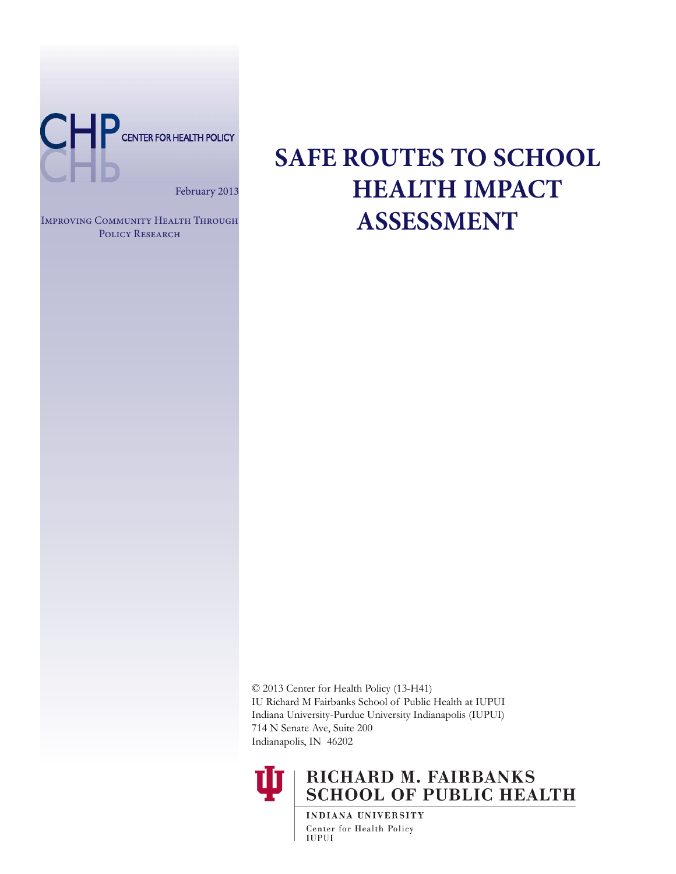

February 2013

Improving Community Health Through POLICY RESEARCH

# **SAFE ROUTES TO SCHOOL HEALTH IMPACT ASSESSMENT**

© 2013 Center for Health Policy (13-H41) IU Richard M Fairbanks School of Public Health at IUPUI Indiana University-Purdue University Indianapolis (IUPUI) 714 N Senate Ave, Suite 200 Indianapolis, IN 46202



# RICHARD M. FAIRBANKS **SCHOOL OF PUBLIC HEALTH**

INDIANA UNIVERSITY Center for Health Policy **IUPUI**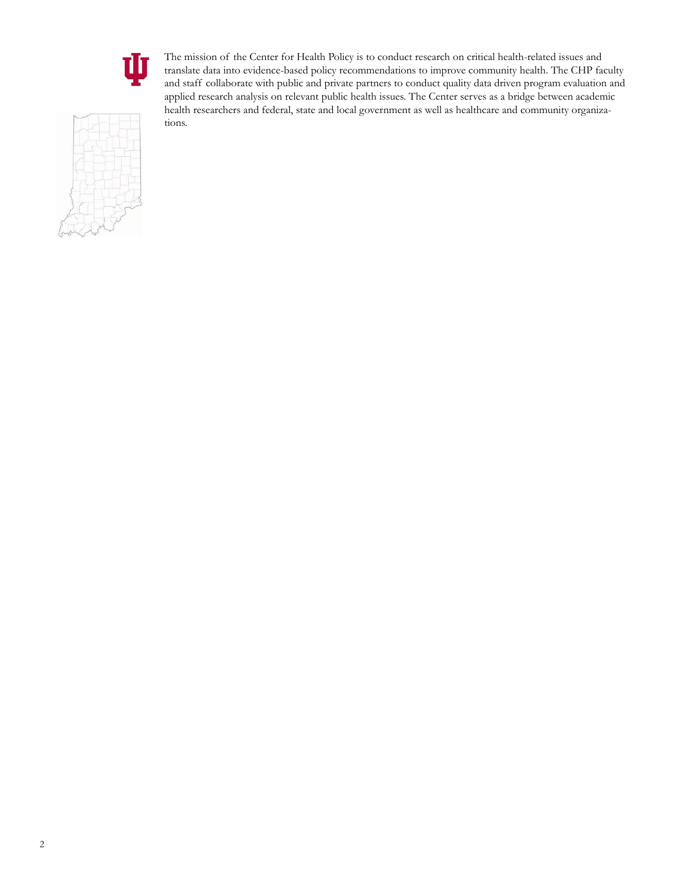

The mission of the Center for Health Policy is to conduct research on critical health-related issues and translate data into evidence-based policy recommendations to improve community health. The CHP faculty and staff collaborate with public and private partners to conduct quality data driven program evaluation and applied research analysis on relevant public health issues. The Center serves as a bridge between academic health researchers and federal, state and local government as well as healthcare and community organizations.

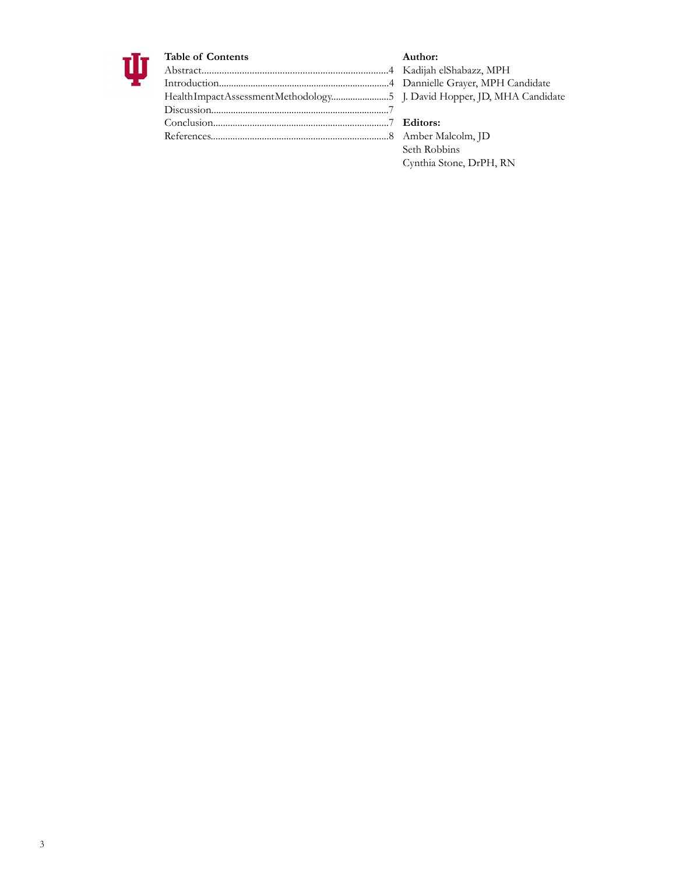

### **Table of Contents**

| Health Impact Assessment Methodology5 |  |
|---------------------------------------|--|
|                                       |  |
|                                       |  |
|                                       |  |
|                                       |  |

**Author:** Kadijah elShabazz, MPH Dannielle Grayer, MPH Candidate J. David Hopper, JD, MHA Candidate

# **Editors:**

Amber Malcolm, JD Seth Robbins Cynthia Stone, DrPH, RN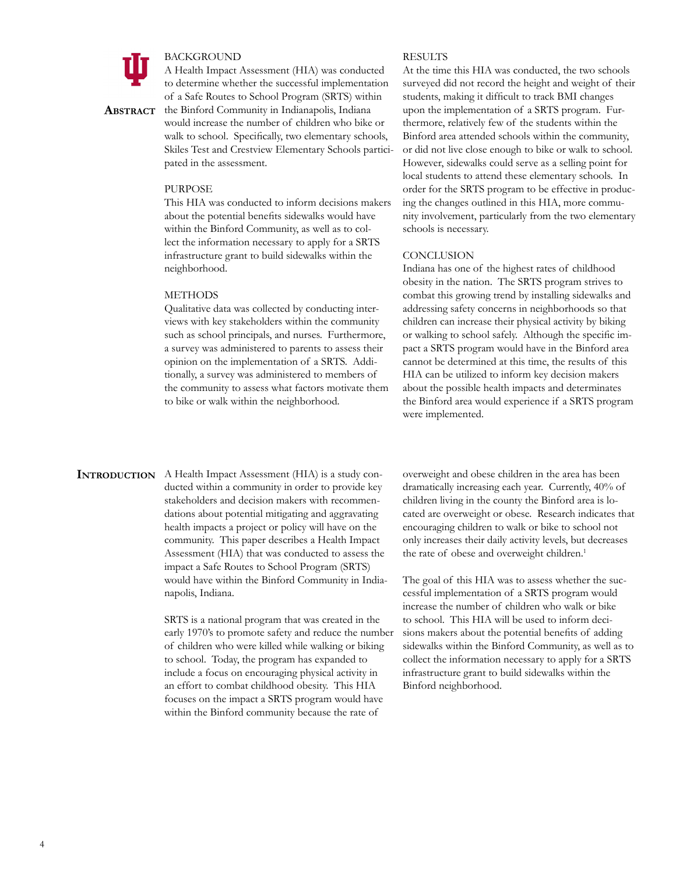

#### BACKGROUND

A Health Impact Assessment (HIA) was conducted to determine whether the successful implementation of a Safe Routes to School Program (SRTS) within

**Abstract** the Binford Community in Indianapolis, Indiana would increase the number of children who bike or walk to school. Specifically, two elementary schools, Skiles Test and Crestview Elementary Schools participated in the assessment.

#### PURPOSE

This HIA was conducted to inform decisions makers about the potential benefits sidewalks would have within the Binford Community, as well as to collect the information necessary to apply for a SRTS infrastructure grant to build sidewalks within the neighborhood.

#### **METHODS**

Qualitative data was collected by conducting interviews with key stakeholders within the community such as school principals, and nurses. Furthermore, a survey was administered to parents to assess their opinion on the implementation of a SRTS. Additionally, a survey was administered to members of the community to assess what factors motivate them to bike or walk within the neighborhood.

#### RESULTS

At the time this HIA was conducted, the two schools surveyed did not record the height and weight of their students, making it difficult to track BMI changes upon the implementation of a SRTS program. Furthermore, relatively few of the students within the Binford area attended schools within the community, or did not live close enough to bike or walk to school. However, sidewalks could serve as a selling point for local students to attend these elementary schools. In order for the SRTS program to be effective in producing the changes outlined in this HIA, more community involvement, particularly from the two elementary schools is necessary.

#### **CONCLUSION**

Indiana has one of the highest rates of childhood obesity in the nation. The SRTS program strives to combat this growing trend by installing sidewalks and addressing safety concerns in neighborhoods so that children can increase their physical activity by biking or walking to school safely. Although the specific impact a SRTS program would have in the Binford area cannot be determined at this time, the results of this HIA can be utilized to inform key decision makers about the possible health impacts and determinates the Binford area would experience if a SRTS program were implemented.

**INTRODUCTION** A Health Impact Assessment (HIA) is a study conducted within a community in order to provide key stakeholders and decision makers with recommendations about potential mitigating and aggravating health impacts a project or policy will have on the community. This paper describes a Health Impact Assessment (HIA) that was conducted to assess the impact a Safe Routes to School Program (SRTS) would have within the Binford Community in Indianapolis, Indiana.

> SRTS is a national program that was created in the early 1970's to promote safety and reduce the number of children who were killed while walking or biking to school. Today, the program has expanded to include a focus on encouraging physical activity in an effort to combat childhood obesity. This HIA focuses on the impact a SRTS program would have within the Binford community because the rate of

overweight and obese children in the area has been dramatically increasing each year. Currently, 40% of children living in the county the Binford area is located are overweight or obese. Research indicates that encouraging children to walk or bike to school not only increases their daily activity levels, but decreases the rate of obese and overweight children.<sup>1</sup>

The goal of this HIA was to assess whether the successful implementation of a SRTS program would increase the number of children who walk or bike to school. This HIA will be used to inform decisions makers about the potential benefits of adding sidewalks within the Binford Community, as well as to collect the information necessary to apply for a SRTS infrastructure grant to build sidewalks within the Binford neighborhood.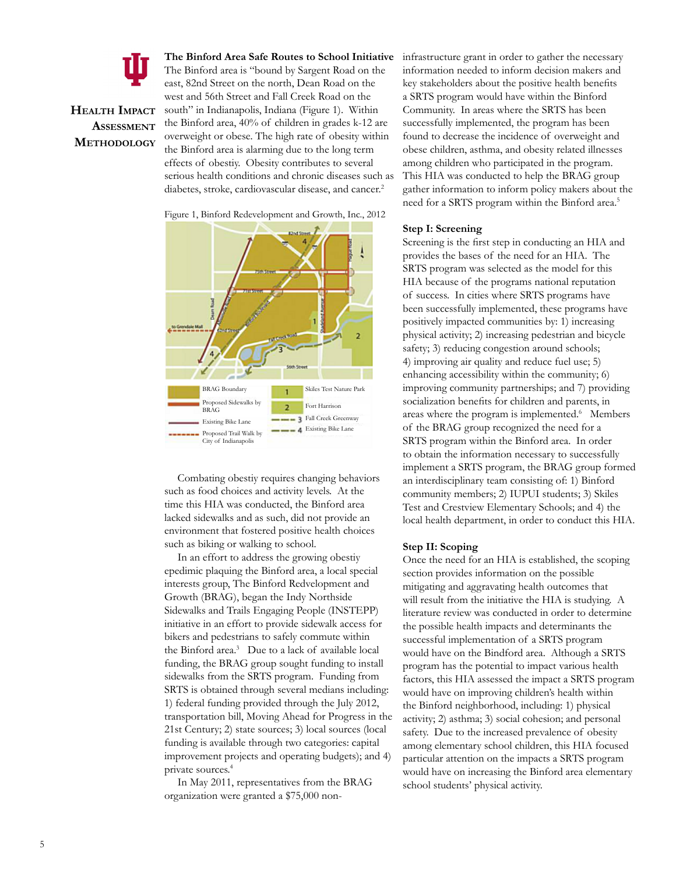

# **Health Impact Assessment Methodology**

**The Binford Area Safe Routes to School Initiative** The Binford area is "bound by Sargent Road on the east, 82nd Street on the north, Dean Road on the west and 56th Street and Fall Creek Road on the south" in Indianapolis, Indiana (Figure 1). Within the Binford area, 40% of children in grades k-12 are overweight or obese. The high rate of obesity within the Binford area is alarming due to the long term effects of obestiy. Obesity contributes to several serious health conditions and chronic diseases such as diabetes, stroke, cardiovascular disease, and cancer.<sup>2</sup>





Combating obestiy requires changing behaviors such as food choices and activity levels. At the time this HIA was conducted, the Binford area lacked sidewalks and as such, did not provide an environment that fostered positive health choices such as biking or walking to school.

In an effort to address the growing obestiy epedimic plaquing the Binford area, a local special interests group, The Binford Redvelopment and Growth (BRAG), began the Indy Northside Sidewalks and Trails Engaging People (INSTEPP) initiative in an effort to provide sidewalk access for bikers and pedestrians to safely commute within the Binford area.3 Due to a lack of available local funding, the BRAG group sought funding to install sidewalks from the SRTS program. Funding from SRTS is obtained through several medians including: 1) federal funding provided through the July 2012, transportation bill, Moving Ahead for Progress in the 21st Century; 2) state sources; 3) local sources (local funding is available through two categories: capital improvement projects and operating budgets); and 4) private sources.4

In May 2011, representatives from the BRAG organization were granted a \$75,000 noninfrastructure grant in order to gather the necessary information needed to inform decision makers and key stakeholders about the positive health benefits a SRTS program would have within the Binford Community. In areas where the SRTS has been successfully implemented, the program has been found to decrease the incidence of overweight and obese children, asthma, and obesity related illnesses among children who participated in the program. This HIA was conducted to help the BRAG group gather information to inform policy makers about the need for a SRTS program within the Binford area.5

#### **Step I: Screening**

Screening is the first step in conducting an HIA and provides the bases of the need for an HIA. The SRTS program was selected as the model for this HIA because of the programs national reputation of success. In cities where SRTS programs have been successfully implemented, these programs have positively impacted communities by: 1) increasing physical activity; 2) increasing pedestrian and bicycle safety; 3) reducing congestion around schools; 4) improving air quality and reduce fuel use; 5) enhancing accessibility within the community; 6) improving community partnerships; and 7) providing socialization benefits for children and parents, in areas where the program is implemented.<sup>6</sup> Members of the BRAG group recognized the need for a SRTS program within the Binford area. In order to obtain the information necessary to successfully implement a SRTS program, the BRAG group formed an interdisciplinary team consisting of: 1) Binford community members; 2) IUPUI students; 3) Skiles Test and Crestview Elementary Schools; and 4) the local health department, in order to conduct this HIA.

#### **Step II: Scoping**

Once the need for an HIA is established, the scoping section provides information on the possible mitigating and aggravating health outcomes that will result from the initiative the HIA is studying. A literature review was conducted in order to determine the possible health impacts and determinants the successful implementation of a SRTS program would have on the Bindford area. Although a SRTS program has the potential to impact various health factors, this HIA assessed the impact a SRTS program would have on improving children's health within the Binford neighborhood, including: 1) physical activity; 2) asthma; 3) social cohesion; and personal safety. Due to the increased prevalence of obesity among elementary school children, this HIA focused particular attention on the impacts a SRTS program would have on increasing the Binford area elementary school students' physical activity.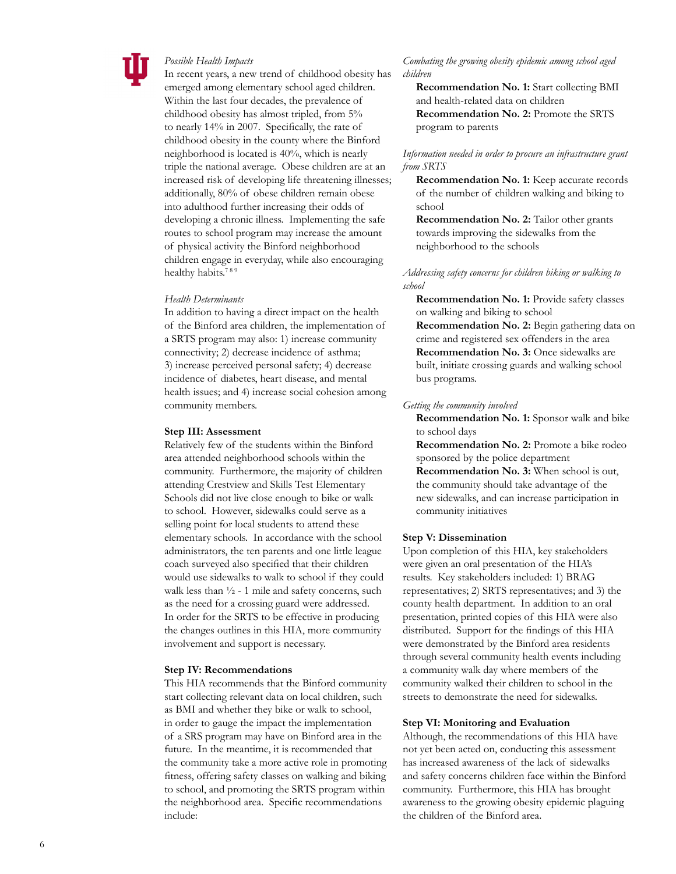

#### *Possible Health Impacts*

In recent years, a new trend of childhood obesity has emerged among elementary school aged children. Within the last four decades, the prevalence of childhood obesity has almost tripled, from 5% to nearly 14% in 2007. Specifically, the rate of childhood obesity in the county where the Binford neighborhood is located is 40%, which is nearly triple the national average. Obese children are at an increased risk of developing life threatening illnesses; additionally, 80% of obese children remain obese into adulthood further increasing their odds of developing a chronic illness. Implementing the safe routes to school program may increase the amount of physical activity the Binford neighborhood children engage in everyday, while also encouraging healthy habits.<sup>789</sup>

#### *Health Determinants*

In addition to having a direct impact on the health of the Binford area children, the implementation of a SRTS program may also: 1) increase community connectivity; 2) decrease incidence of asthma; 3) increase perceived personal safety; 4) decrease incidence of diabetes, heart disease, and mental health issues; and 4) increase social cohesion among community members.

#### **Step III: Assessment**

Relatively few of the students within the Binford area attended neighborhood schools within the community. Furthermore, the majority of children attending Crestview and Skills Test Elementary Schools did not live close enough to bike or walk to school. However, sidewalks could serve as a selling point for local students to attend these elementary schools. In accordance with the school administrators, the ten parents and one little league coach surveyed also specified that their children would use sidewalks to walk to school if they could walk less than  $\frac{1}{2}$  - 1 mile and safety concerns, such as the need for a crossing guard were addressed. In order for the SRTS to be effective in producing the changes outlines in this HIA, more community involvement and support is necessary.

#### **Step IV: Recommendations**

This HIA recommends that the Binford community start collecting relevant data on local children, such as BMI and whether they bike or walk to school, in order to gauge the impact the implementation of a SRS program may have on Binford area in the future. In the meantime, it is recommended that the community take a more active role in promoting fitness, offering safety classes on walking and biking to school, and promoting the SRTS program within the neighborhood area. Specific recommendations include:

*Combating the growing obesity epidemic among school aged children*

**Recommendation No. 1:** Start collecting BMI and health-related data on children **Recommendation No. 2:** Promote the SRTS program to parents

#### *Information needed in order to procure an infrastructure grant from SRTS*

**Recommendation No. 1:** Keep accurate records of the number of children walking and biking to school

**Recommendation No. 2:** Tailor other grants towards improving the sidewalks from the neighborhood to the schools

*Addressing safety concerns for children biking or walking to school*

**Recommendation No. 1:** Provide safety classes on walking and biking to school **Recommendation No. 2:** Begin gathering data on crime and registered sex offenders in the area **Recommendation No. 3:** Once sidewalks are built, initiate crossing guards and walking school bus programs.

#### *Getting the community involved*

**Recommendation No. 1:** Sponsor walk and bike to school days

**Recommendation No. 2:** Promote a bike rodeo sponsored by the police department **Recommendation No. 3:** When school is out, the community should take advantage of the new sidewalks, and can increase participation in community initiatives

#### **Step V: Dissemination**

Upon completion of this HIA, key stakeholders were given an oral presentation of the HIA's results. Key stakeholders included: 1) BRAG representatives; 2) SRTS representatives; and 3) the county health department. In addition to an oral presentation, printed copies of this HIA were also distributed. Support for the findings of this HIA were demonstrated by the Binford area residents through several community health events including a community walk day where members of the community walked their children to school in the streets to demonstrate the need for sidewalks.

#### **Step VI: Monitoring and Evaluation**

Although, the recommendations of this HIA have not yet been acted on, conducting this assessment has increased awareness of the lack of sidewalks and safety concerns children face within the Binford community. Furthermore, this HIA has brought awareness to the growing obesity epidemic plaguing the children of the Binford area.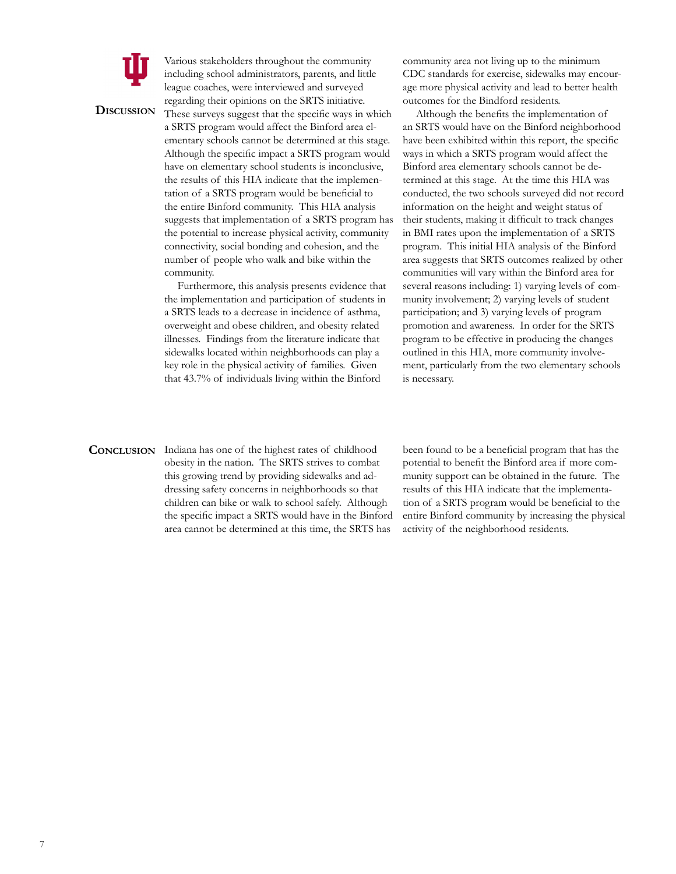

**Discussion**

Various stakeholders throughout the community including school administrators, parents, and little league coaches, were interviewed and surveyed regarding their opinions on the SRTS initiative.

These surveys suggest that the specific ways in which a SRTS program would affect the Binford area elementary schools cannot be determined at this stage. Although the specific impact a SRTS program would have on elementary school students is inconclusive, the results of this HIA indicate that the implementation of a SRTS program would be beneficial to the entire Binford community. This HIA analysis suggests that implementation of a SRTS program has the potential to increase physical activity, community connectivity, social bonding and cohesion, and the number of people who walk and bike within the community.

Furthermore, this analysis presents evidence that the implementation and participation of students in a SRTS leads to a decrease in incidence of asthma, overweight and obese children, and obesity related illnesses. Findings from the literature indicate that sidewalks located within neighborhoods can play a key role in the physical activity of families. Given that 43.7% of individuals living within the Binford

community area not living up to the minimum CDC standards for exercise, sidewalks may encourage more physical activity and lead to better health outcomes for the Bindford residents.

Although the benefits the implementation of an SRTS would have on the Binford neighborhood have been exhibited within this report, the specific ways in which a SRTS program would affect the Binford area elementary schools cannot be determined at this stage. At the time this HIA was conducted, the two schools surveyed did not record information on the height and weight status of their students, making it difficult to track changes in BMI rates upon the implementation of a SRTS program. This initial HIA analysis of the Binford area suggests that SRTS outcomes realized by other communities will vary within the Binford area for several reasons including: 1) varying levels of community involvement; 2) varying levels of student participation; and 3) varying levels of program promotion and awareness. In order for the SRTS program to be effective in producing the changes outlined in this HIA, more community involvement, particularly from the two elementary schools is necessary.

**CONCLUSION** Indiana has one of the highest rates of childhood obesity in the nation. The SRTS strives to combat this growing trend by providing sidewalks and addressing safety concerns in neighborhoods so that children can bike or walk to school safely. Although the specific impact a SRTS would have in the Binford area cannot be determined at this time, the SRTS has

been found to be a beneficial program that has the potential to benefit the Binford area if more community support can be obtained in the future. The results of this HIA indicate that the implementation of a SRTS program would be beneficial to the entire Binford community by increasing the physical activity of the neighborhood residents.